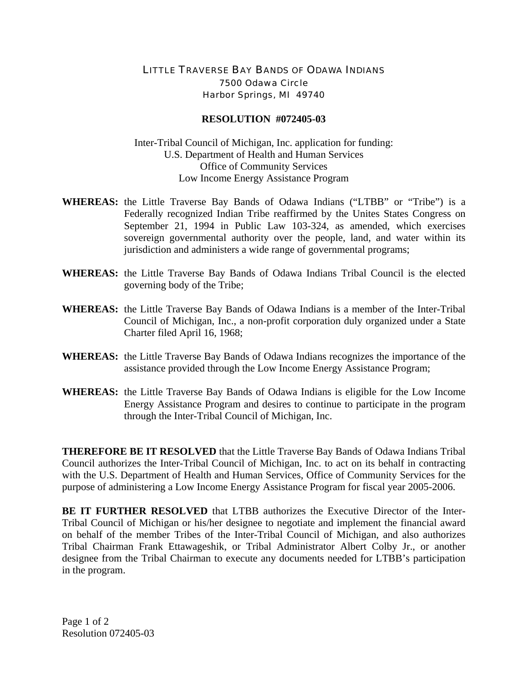## LITTLE TRAVERSE BAY BANDS OF ODAWA INDIANS 7500 Odawa Circle Harbor Springs, MI 49740

## **RESOLUTION #072405-03**

Inter-Tribal Council of Michigan, Inc. application for funding: U.S. Department of Health and Human Services Office of Community Services Low Income Energy Assistance Program

- **WHEREAS:** the Little Traverse Bay Bands of Odawa Indians ("LTBB" or "Tribe") is a Federally recognized Indian Tribe reaffirmed by the Unites States Congress on September 21, 1994 in Public Law 103-324, as amended, which exercises sovereign governmental authority over the people, land, and water within its jurisdiction and administers a wide range of governmental programs;
- **WHEREAS:** the Little Traverse Bay Bands of Odawa Indians Tribal Council is the elected governing body of the Tribe;
- **WHEREAS:** the Little Traverse Bay Bands of Odawa Indians is a member of the Inter-Tribal Council of Michigan, Inc., a non-profit corporation duly organized under a State Charter filed April 16, 1968;
- **WHEREAS:** the Little Traverse Bay Bands of Odawa Indians recognizes the importance of the assistance provided through the Low Income Energy Assistance Program;
- **WHEREAS:** the Little Traverse Bay Bands of Odawa Indians is eligible for the Low Income Energy Assistance Program and desires to continue to participate in the program through the Inter-Tribal Council of Michigan, Inc.

**THEREFORE BE IT RESOLVED** that the Little Traverse Bay Bands of Odawa Indians Tribal Council authorizes the Inter-Tribal Council of Michigan, Inc. to act on its behalf in contracting with the U.S. Department of Health and Human Services, Office of Community Services for the purpose of administering a Low Income Energy Assistance Program for fiscal year 2005-2006.

**BE IT FURTHER RESOLVED** that LTBB authorizes the Executive Director of the Inter-Tribal Council of Michigan or his/her designee to negotiate and implement the financial award on behalf of the member Tribes of the Inter-Tribal Council of Michigan, and also authorizes Tribal Chairman Frank Ettawageshik, or Tribal Administrator Albert Colby Jr., or another designee from the Tribal Chairman to execute any documents needed for LTBB's participation in the program.